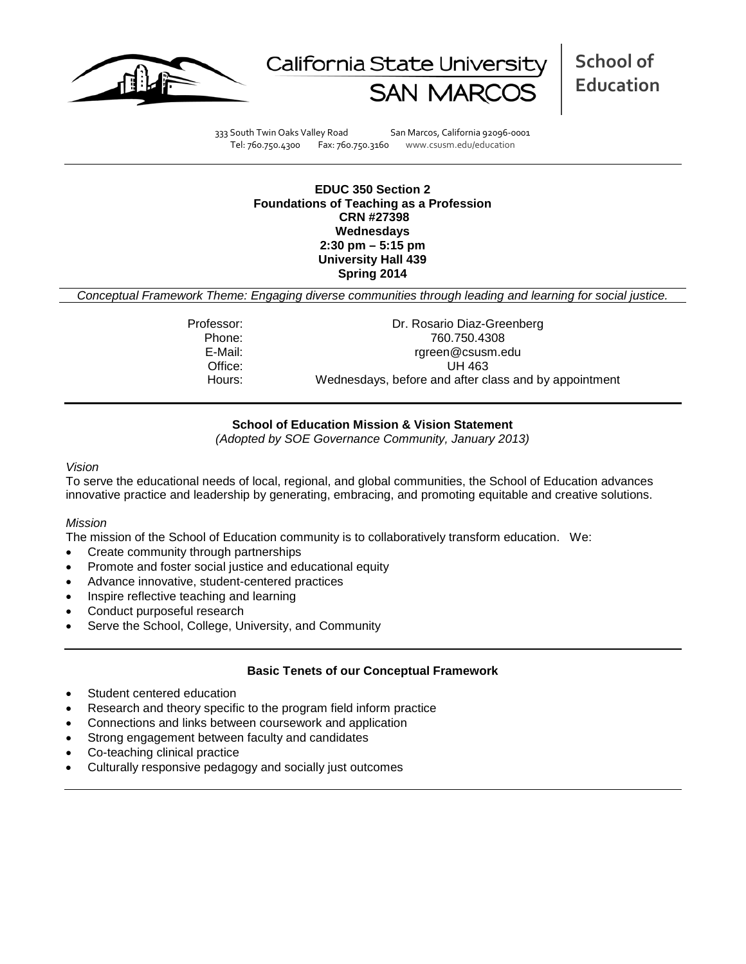



333 South Twin Oaks Valley Road San Marcos, California 92096-0001 Tel: 760.750.4300 Fax: 760.750.3160 www.csusm.edu/education

### **EDUC 350 Section 2 Foundations of Teaching as a Profession CRN #27398 Wednesdays 2:30 pm – 5:15 pm University Hall 439 Spring 2014**

*Conceptual Framework Theme: Engaging diverse communities through leading and learning for social justice.*

| Professor: | Dr. Rosario Diaz-Greenberg                            |
|------------|-------------------------------------------------------|
| Phone:     | 760.750.4308                                          |
| E-Mail:    | rgreen@csusm.edu                                      |
| Office:    | UH 463                                                |
| Hours:     | Wednesdays, before and after class and by appointment |

# **School of Education Mission & Vision Statement**

*(Adopted by SOE Governance Community, January 2013)*

#### *Vision*

To serve the educational needs of local, regional, and global communities, the School of Education advances innovative practice and leadership by generating, embracing, and promoting equitable and creative solutions.

# *Mission*

The mission of the School of Education community is to collaboratively transform education. We:

- Create community through partnerships
- Promote and foster social justice and educational equity
- Advance innovative, student-centered practices
- Inspire reflective teaching and learning
- Conduct purposeful research
- Serve the School, College, University, and Community

# **Basic Tenets of our Conceptual Framework**

- Student centered education
- Research and theory specific to the program field inform practice
- Connections and links between coursework and application
- Strong engagement between faculty and candidates
- Co-teaching clinical practice
- Culturally responsive pedagogy and socially just outcomes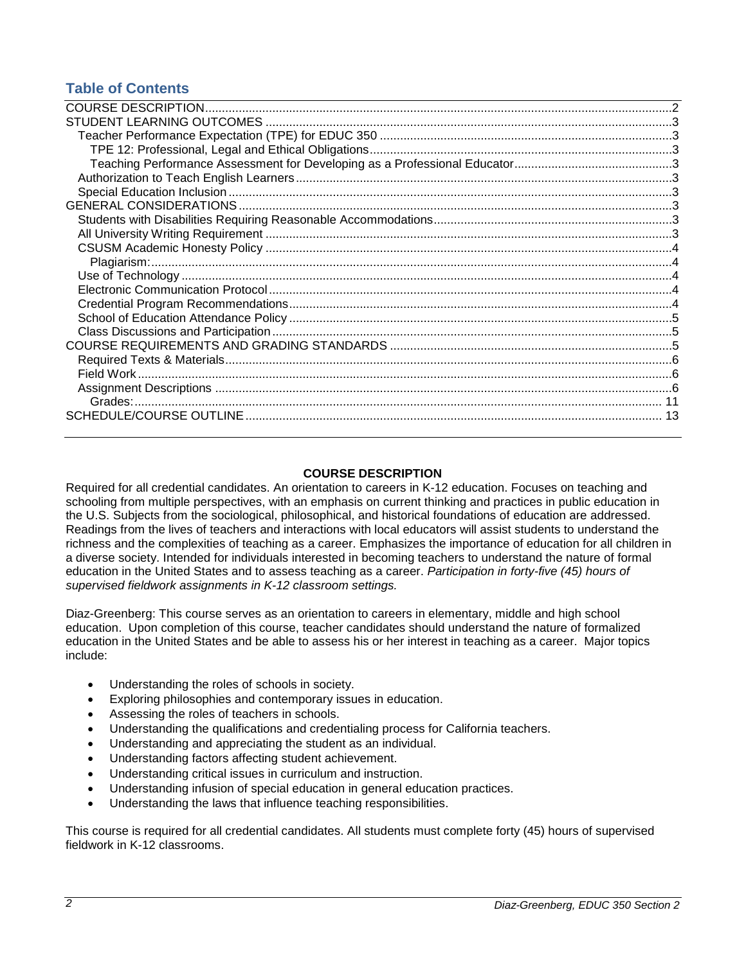# **Table of Contents**

# **COURSE DESCRIPTION**

<span id="page-1-0"></span>Required for all credential candidates. An orientation to careers in K-12 education. Focuses on teaching and schooling from multiple perspectives, with an emphasis on current thinking and practices in public education in the U.S. Subjects from the sociological, philosophical, and historical foundations of education are addressed. Readings from the lives of teachers and interactions with local educators will assist students to understand the richness and the complexities of teaching as a career. Emphasizes the importance of education for all children in a diverse society. Intended for individuals interested in becoming teachers to understand the nature of formal education in the United States and to assess teaching as a career. *Participation in forty-five (45) hours of supervised fieldwork assignments in K-12 classroom settings.*

Diaz-Greenberg: This course serves as an orientation to careers in elementary, middle and high school education. Upon completion of this course, teacher candidates should understand the nature of formalized education in the United States and be able to assess his or her interest in teaching as a career. Major topics include:

- Understanding the roles of schools in society.
- Exploring philosophies and contemporary issues in education.
- Assessing the roles of teachers in schools.
- Understanding the qualifications and credentialing process for California teachers.
- Understanding and appreciating the student as an individual.
- Understanding factors affecting student achievement.
- Understanding critical issues in curriculum and instruction.
- Understanding infusion of special education in general education practices.
- Understanding the laws that influence teaching responsibilities.

<span id="page-1-1"></span>This course is required for all credential candidates. All students must complete forty (45) hours of supervised fieldwork in K-12 classrooms.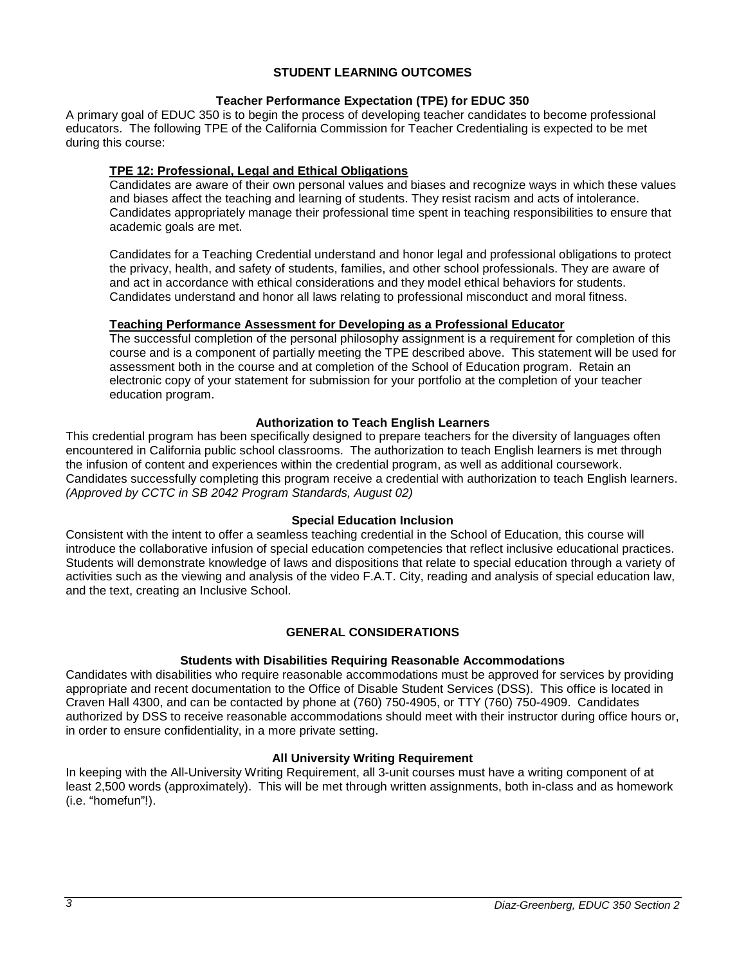# **STUDENT LEARNING OUTCOMES**

# **Teacher Performance Expectation (TPE) for EDUC 350**

<span id="page-2-0"></span>A primary goal of EDUC 350 is to begin the process of developing teacher candidates to become professional educators. The following TPE of the California Commission for Teacher Credentialing is expected to be met during this course:

# <span id="page-2-1"></span>**TPE 12: Professional, Legal and Ethical Obligations**

Candidates are aware of their own personal values and biases and recognize ways in which these values and biases affect the teaching and learning of students. They resist racism and acts of intolerance. Candidates appropriately manage their professional time spent in teaching responsibilities to ensure that academic goals are met.

Candidates for a Teaching Credential understand and honor legal and professional obligations to protect the privacy, health, and safety of students, families, and other school professionals. They are aware of and act in accordance with ethical considerations and they model ethical behaviors for students. Candidates understand and honor all laws relating to professional misconduct and moral fitness.

# <span id="page-2-2"></span>**Teaching Performance Assessment for Developing as a Professional Educator**

The successful completion of the personal philosophy assignment is a requirement for completion of this course and is a component of partially meeting the TPE described above. This statement will be used for assessment both in the course and at completion of the School of Education program. Retain an electronic copy of your statement for submission for your portfolio at the completion of your teacher education program.

# **Authorization to Teach English Learners**

<span id="page-2-3"></span>This credential program has been specifically designed to prepare teachers for the diversity of languages often encountered in California public school classrooms. The authorization to teach English learners is met through the infusion of content and experiences within the credential program, as well as additional coursework. Candidates successfully completing this program receive a credential with authorization to teach English learners. *(Approved by CCTC in SB 2042 Program Standards, August 02)*

### **Special Education Inclusion**

<span id="page-2-4"></span>Consistent with the intent to offer a seamless teaching credential in the School of Education, this course will introduce the collaborative infusion of special education competencies that reflect inclusive educational practices. Students will demonstrate knowledge of laws and dispositions that relate to special education through a variety of activities such as the viewing and analysis of the video F.A.T. City, reading and analysis of special education law, and the text, creating an Inclusive School.

# **GENERAL CONSIDERATIONS**

### **Students with Disabilities Requiring Reasonable Accommodations**

<span id="page-2-6"></span><span id="page-2-5"></span>Candidates with disabilities who require reasonable accommodations must be approved for services by providing appropriate and recent documentation to the Office of Disable Student Services (DSS). This office is located in Craven Hall 4300, and can be contacted by phone at (760) 750-4905, or TTY (760) 750-4909. Candidates authorized by DSS to receive reasonable accommodations should meet with their instructor during office hours or, in order to ensure confidentiality, in a more private setting.

### **All University Writing Requirement**

<span id="page-2-8"></span><span id="page-2-7"></span>In keeping with the All-University Writing Requirement, all 3-unit courses must have a writing component of at least 2,500 words (approximately). This will be met through written assignments, both in-class and as homework (i.e. "homefun"!).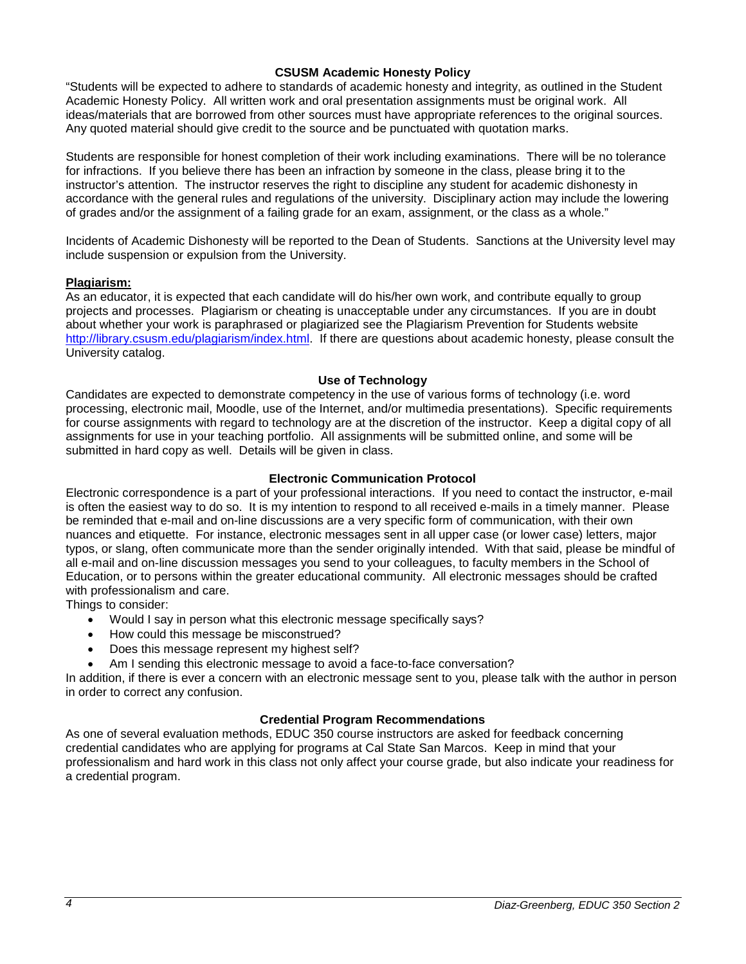### **CSUSM Academic Honesty Policy**

"Students will be expected to adhere to standards of academic honesty and integrity, as outlined in the Student Academic Honesty Policy. All written work and oral presentation assignments must be original work. All ideas/materials that are borrowed from other sources must have appropriate references to the original sources. Any quoted material should give credit to the source and be punctuated with quotation marks.

Students are responsible for honest completion of their work including examinations. There will be no tolerance for infractions. If you believe there has been an infraction by someone in the class, please bring it to the instructor's attention. The instructor reserves the right to discipline any student for academic dishonesty in accordance with the general rules and regulations of the university. Disciplinary action may include the lowering of grades and/or the assignment of a failing grade for an exam, assignment, or the class as a whole."

Incidents of Academic Dishonesty will be reported to the Dean of Students. Sanctions at the University level may include suspension or expulsion from the University.

# <span id="page-3-0"></span>**Plagiarism:**

As an educator, it is expected that each candidate will do his/her own work, and contribute equally to group projects and processes. Plagiarism or cheating is unacceptable under any circumstances. If you are in doubt about whether your work is paraphrased or plagiarized see the Plagiarism Prevention for Students website [http://library.csusm.edu/plagiarism/index.html.](http://library.csusm.edu/plagiarism/index.html) If there are questions about academic honesty, please consult the University catalog.

### **Use of Technology**

<span id="page-3-1"></span>Candidates are expected to demonstrate competency in the use of various forms of technology (i.e. word processing, electronic mail, Moodle, use of the Internet, and/or multimedia presentations). Specific requirements for course assignments with regard to technology are at the discretion of the instructor. Keep a digital copy of all assignments for use in your teaching portfolio. All assignments will be submitted online, and some will be submitted in hard copy as well. Details will be given in class.

# **Electronic Communication Protocol**

<span id="page-3-2"></span>Electronic correspondence is a part of your professional interactions. If you need to contact the instructor, e-mail is often the easiest way to do so. It is my intention to respond to all received e-mails in a timely manner. Please be reminded that e-mail and on-line discussions are a very specific form of communication, with their own nuances and etiquette. For instance, electronic messages sent in all upper case (or lower case) letters, major typos, or slang, often communicate more than the sender originally intended. With that said, please be mindful of all e-mail and on-line discussion messages you send to your colleagues, to faculty members in the School of Education, or to persons within the greater educational community. All electronic messages should be crafted with professionalism and care.

Things to consider:

- Would I say in person what this electronic message specifically says?
- How could this message be misconstrued?
- Does this message represent my highest self?
- Am I sending this electronic message to avoid a face-to-face conversation?

In addition, if there is ever a concern with an electronic message sent to you, please talk with the author in person in order to correct any confusion.

### **Credential Program Recommendations**

<span id="page-3-4"></span><span id="page-3-3"></span>As one of several evaluation methods, EDUC 350 course instructors are asked for feedback concerning credential candidates who are applying for programs at Cal State San Marcos. Keep in mind that your professionalism and hard work in this class not only affect your course grade, but also indicate your readiness for a credential program.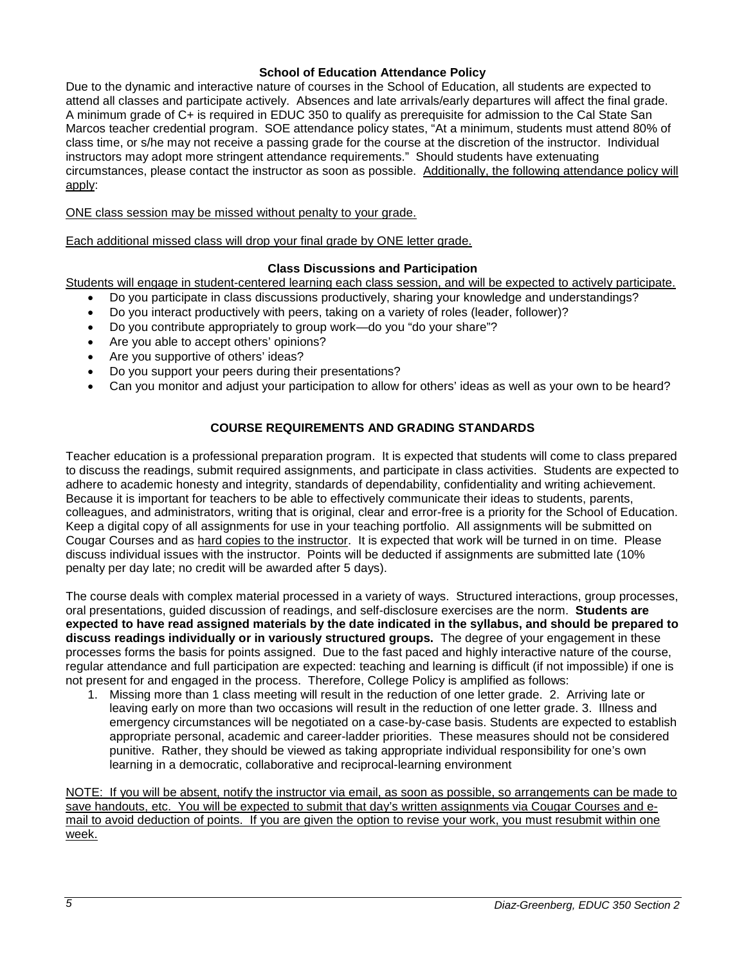# **School of Education Attendance Policy**

Due to the dynamic and interactive nature of courses in the School of Education, all students are expected to attend all classes and participate actively. Absences and late arrivals/early departures will affect the final grade. A minimum grade of C+ is required in EDUC 350 to qualify as prerequisite for admission to the Cal State San Marcos teacher credential program. SOE attendance policy states, "At a minimum, students must attend 80% of class time, or s/he may not receive a passing grade for the course at the discretion of the instructor. Individual instructors may adopt more stringent attendance requirements." Should students have extenuating circumstances, please contact the instructor as soon as possible. Additionally, the following attendance policy will apply:

ONE class session may be missed without penalty to your grade.

Each additional missed class will drop your final grade by ONE letter grade.

# **Class Discussions and Participation**

<span id="page-4-0"></span>Students will engage in student-centered learning each class session, and will be expected to actively participate.

- Do you participate in class discussions productively, sharing your knowledge and understandings?
- Do you interact productively with peers, taking on a variety of roles (leader, follower)?
- Do you contribute appropriately to group work—do you "do your share"?
- Are you able to accept others' opinions?
- Are you supportive of others' ideas?
- Do you support your peers during their presentations?
- Can you monitor and adjust your participation to allow for others' ideas as well as your own to be heard?

# **COURSE REQUIREMENTS AND GRADING STANDARDS**

<span id="page-4-1"></span>Teacher education is a professional preparation program. It is expected that students will come to class prepared to discuss the readings, submit required assignments, and participate in class activities. Students are expected to adhere to academic honesty and integrity, standards of dependability, confidentiality and writing achievement. Because it is important for teachers to be able to effectively communicate their ideas to students, parents, colleagues, and administrators, writing that is original, clear and error-free is a priority for the School of Education. Keep a digital copy of all assignments for use in your teaching portfolio. All assignments will be submitted on Cougar Courses and as hard copies to the instructor. It is expected that work will be turned in on time. Please discuss individual issues with the instructor. Points will be deducted if assignments are submitted late (10% penalty per day late; no credit will be awarded after 5 days).

The course deals with complex material processed in a variety of ways. Structured interactions, group processes, oral presentations, guided discussion of readings, and self-disclosure exercises are the norm. **Students are expected to have read assigned materials by the date indicated in the syllabus, and should be prepared to discuss readings individually or in variously structured groups.** The degree of your engagement in these processes forms the basis for points assigned. Due to the fast paced and highly interactive nature of the course, regular attendance and full participation are expected: teaching and learning is difficult (if not impossible) if one is not present for and engaged in the process. Therefore, College Policy is amplified as follows:

1. Missing more than 1 class meeting will result in the reduction of one letter grade. 2. Arriving late or leaving early on more than two occasions will result in the reduction of one letter grade. 3. Illness and emergency circumstances will be negotiated on a case-by-case basis. Students are expected to establish appropriate personal, academic and career-ladder priorities. These measures should not be considered punitive. Rather, they should be viewed as taking appropriate individual responsibility for one's own learning in a democratic, collaborative and reciprocal-learning environment

<span id="page-4-2"></span>NOTE: If you will be absent, notify the instructor via email, as soon as possible, so arrangements can be made to save handouts, etc. You will be expected to submit that day's written assignments via Cougar Courses and email to avoid deduction of points. If you are given the option to revise your work, you must resubmit within one week.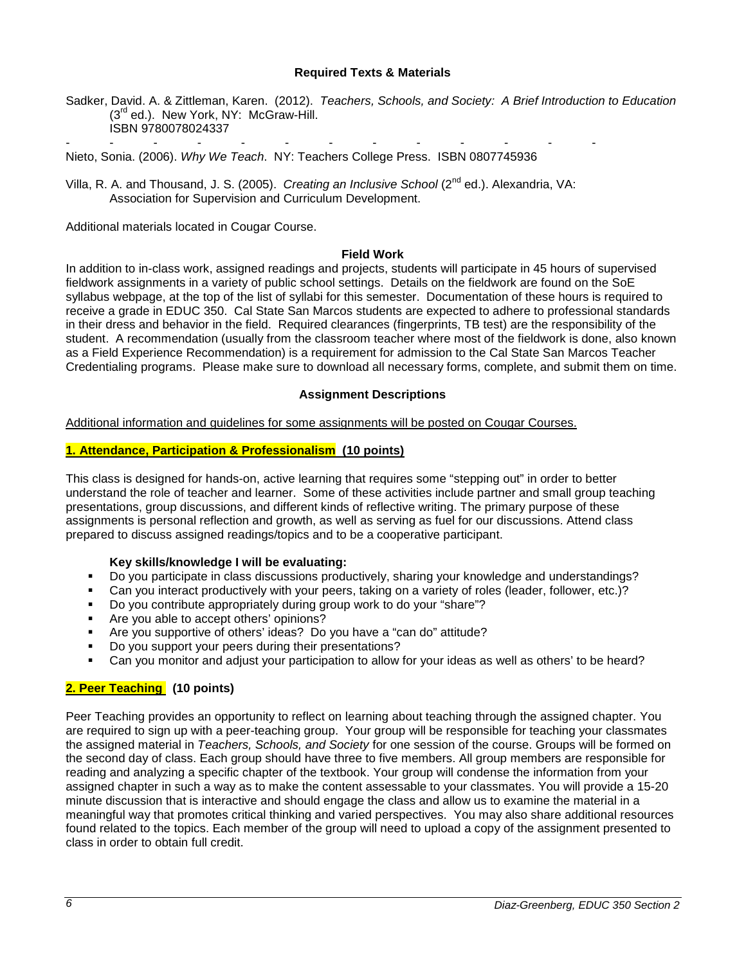### **Required Texts & Materials**

Sadker, David. A. & Zittleman, Karen. (2012). *Teachers, Schools, and Society: A Brief Introduction to Education* (3<sup>rd</sup> ed.). New York, NY: McGraw-Hill. ISBN 9780078024337

- - - - - - - - - - - - - Nieto, Sonia. (2006). *Why We Teach*. NY: Teachers College Press. ISBN 0807745936

Villa, R. A. and Thousand, J. S. (2005). *Creating an Inclusive School* (2<sup>nd</sup> ed.). Alexandria, VA: Association for Supervision and Curriculum Development.

Additional materials located in Cougar Course.

#### **Field Work**

<span id="page-5-0"></span>In addition to in-class work, assigned readings and projects, students will participate in 45 hours of supervised fieldwork assignments in a variety of public school settings. Details on the fieldwork are found on the SoE syllabus webpage, at the top of the list of syllabi for this semester. Documentation of these hours is required to receive a grade in EDUC 350. Cal State San Marcos students are expected to adhere to professional standards in their dress and behavior in the field. Required clearances (fingerprints, TB test) are the responsibility of the student. A recommendation (usually from the classroom teacher where most of the fieldwork is done, also known as a Field Experience Recommendation) is a requirement for admission to the Cal State San Marcos Teacher Credentialing programs. Please make sure to download all necessary forms, complete, and submit them on time.

# **Assignment Descriptions**

<span id="page-5-1"></span>Additional information and guidelines for some assignments will be posted on Cougar Courses.

# **1. Attendance, Participation & Professionalism (10 points)**

This class is designed for hands-on, active learning that requires some "stepping out" in order to better understand the role of teacher and learner. Some of these activities include partner and small group teaching presentations, group discussions, and different kinds of reflective writing. The primary purpose of these assignments is personal reflection and growth, as well as serving as fuel for our discussions. Attend class prepared to discuss assigned readings/topics and to be a cooperative participant.

### **Key skills/knowledge I will be evaluating:**

- Do you participate in class discussions productively, sharing your knowledge and understandings?
- Can you interact productively with your peers, taking on a variety of roles (leader, follower, etc.)?
- Do you contribute appropriately during group work to do your "share"?
- Are you able to accept others' opinions?
- Are you supportive of others' ideas? Do you have a "can do" attitude?
- Do you support your peers during their presentations?
- Can you monitor and adjust your participation to allow for your ideas as well as others' to be heard?

# **2. Peer Teaching (10 points)**

Peer Teaching provides an opportunity to reflect on learning about teaching through the assigned chapter. You are required to sign up with a peer-teaching group. Your group will be responsible for teaching your classmates the assigned material in *Teachers, Schools, and Society* for one session of the course. Groups will be formed on the second day of class. Each group should have three to five members. All group members are responsible for reading and analyzing a specific chapter of the textbook. Your group will condense the information from your assigned chapter in such a way as to make the content assessable to your classmates. You will provide a 15-20 minute discussion that is interactive and should engage the class and allow us to examine the material in a meaningful way that promotes critical thinking and varied perspectives. You may also share additional resources found related to the topics. Each member of the group will need to upload a copy of the assignment presented to class in order to obtain full credit.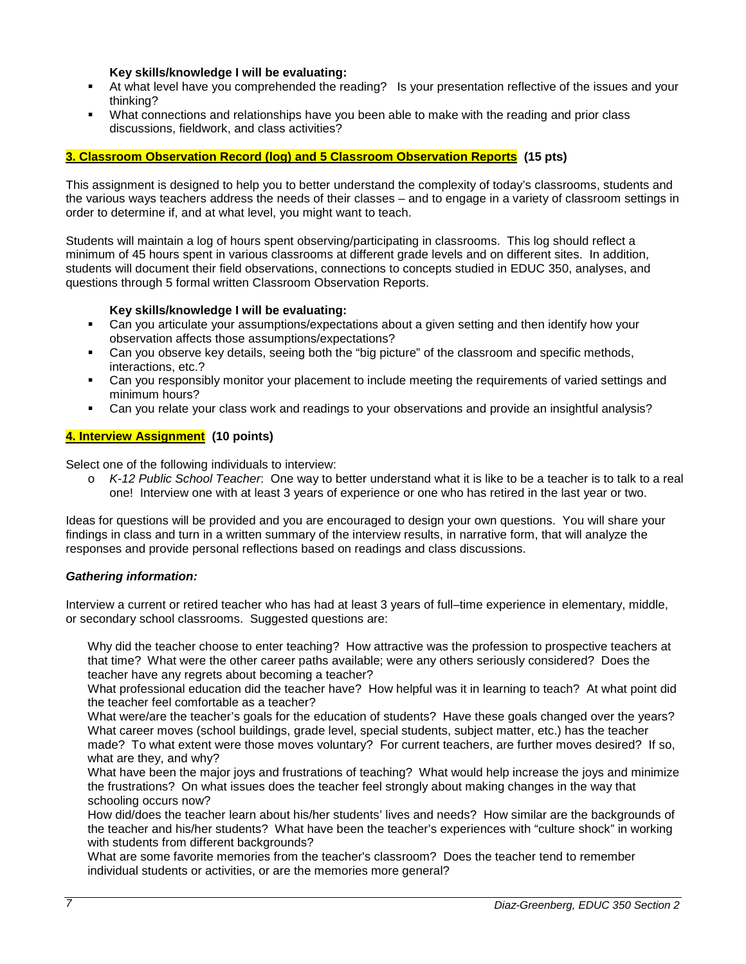### **Key skills/knowledge I will be evaluating:**

- At what level have you comprehended the reading? Is your presentation reflective of the issues and your thinking?
- What connections and relationships have you been able to make with the reading and prior class discussions, fieldwork, and class activities?

# **3. Classroom Observation Record (log) and 5 Classroom Observation Reports (15 pts)**

This assignment is designed to help you to better understand the complexity of today's classrooms, students and the various ways teachers address the needs of their classes – and to engage in a variety of classroom settings in order to determine if, and at what level, you might want to teach.

Students will maintain a log of hours spent observing/participating in classrooms. This log should reflect a minimum of 45 hours spent in various classrooms at different grade levels and on different sites. In addition, students will document their field observations, connections to concepts studied in EDUC 350, analyses, and questions through 5 formal written Classroom Observation Reports.

# **Key skills/knowledge I will be evaluating:**

- Can you articulate your assumptions/expectations about a given setting and then identify how your observation affects those assumptions/expectations?
- Can you observe key details, seeing both the "big picture" of the classroom and specific methods, interactions, etc.?
- Can you responsibly monitor your placement to include meeting the requirements of varied settings and minimum hours?
- Can you relate your class work and readings to your observations and provide an insightful analysis?

# **4. Interview Assignment (10 points)**

Select one of the following individuals to interview:

o *K-12 Public School Teacher*: One way to better understand what it is like to be a teacher is to talk to a real one! Interview one with at least 3 years of experience or one who has retired in the last year or two.

Ideas for questions will be provided and you are encouraged to design your own questions. You will share your findings in class and turn in a written summary of the interview results, in narrative form, that will analyze the responses and provide personal reflections based on readings and class discussions.

# *Gathering information:*

Interview a current or retired teacher who has had at least 3 years of full–time experience in elementary, middle, or secondary school classrooms. Suggested questions are:

Why did the teacher choose to enter teaching? How attractive was the profession to prospective teachers at that time? What were the other career paths available; were any others seriously considered? Does the teacher have any regrets about becoming a teacher?

What professional education did the teacher have? How helpful was it in learning to teach? At what point did the teacher feel comfortable as a teacher?

What were/are the teacher's goals for the education of students? Have these goals changed over the years? What career moves (school buildings, grade level, special students, subject matter, etc.) has the teacher made? To what extent were those moves voluntary? For current teachers, are further moves desired? If so, what are they, and why?

What have been the major joys and frustrations of teaching? What would help increase the joys and minimize the frustrations? On what issues does the teacher feel strongly about making changes in the way that schooling occurs now?

How did/does the teacher learn about his/her students' lives and needs? How similar are the backgrounds of the teacher and his/her students? What have been the teacher's experiences with "culture shock" in working with students from different backgrounds?

What are some favorite memories from the teacher's classroom? Does the teacher tend to remember individual students or activities, or are the memories more general?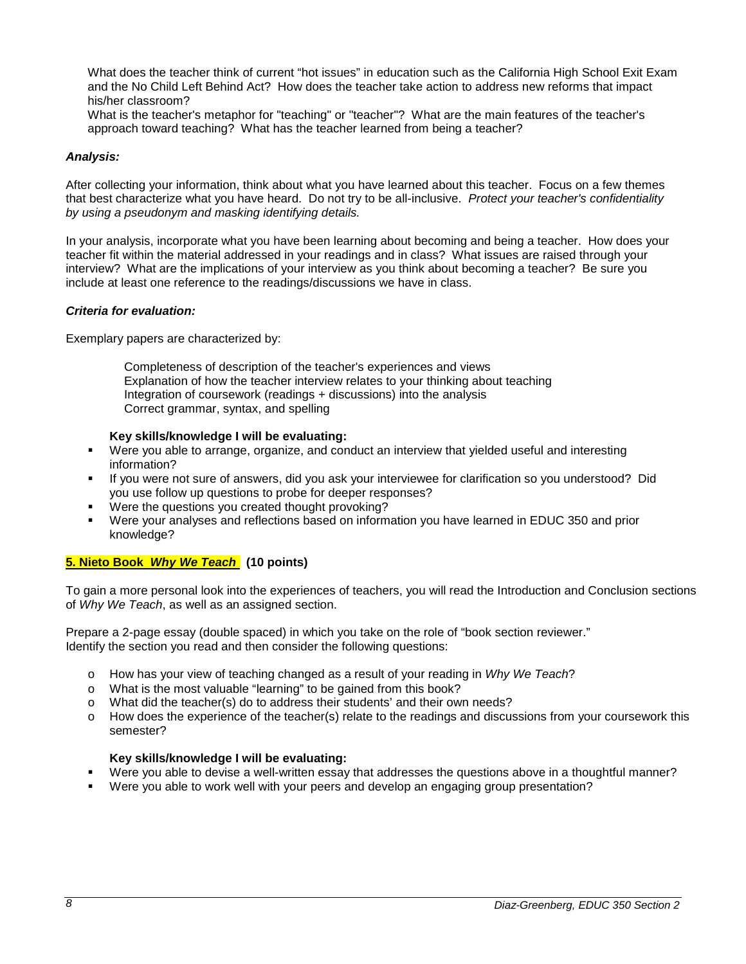What does the teacher think of current "hot issues" in education such as the California High School Exit Exam and the No Child Left Behind Act? How does the teacher take action to address new reforms that impact his/her classroom?

What is the teacher's metaphor for "teaching" or "teacher"? What are the main features of the teacher's approach toward teaching? What has the teacher learned from being a teacher?

### *Analysis:*

After collecting your information, think about what you have learned about this teacher. Focus on a few themes that best characterize what you have heard. Do not try to be all-inclusive. *Protect your teacher's confidentiality by using a pseudonym and masking identifying details.*

In your analysis, incorporate what you have been learning about becoming and being a teacher. How does your teacher fit within the material addressed in your readings and in class? What issues are raised through your interview? What are the implications of your interview as you think about becoming a teacher? Be sure you include at least one reference to the readings/discussions we have in class.

# *Criteria for evaluation:*

Exemplary papers are characterized by:

Completeness of description of the teacher's experiences and views Explanation of how the teacher interview relates to your thinking about teaching Integration of coursework (readings + discussions) into the analysis Correct grammar, syntax, and spelling

### **Key skills/knowledge I will be evaluating:**

- Were you able to arrange, organize, and conduct an interview that yielded useful and interesting information?
- If you were not sure of answers, did you ask your interviewee for clarification so you understood? Did you use follow up questions to probe for deeper responses?
- Were the questions you created thought provoking?
- Were your analyses and reflections based on information you have learned in EDUC 350 and prior knowledge?

# **5. Nieto Book** *Why We Teach* **(10 points)**

To gain a more personal look into the experiences of teachers, you will read the Introduction and Conclusion sections of *Why We Teach*, as well as an assigned section.

Prepare a 2-page essay (double spaced) in which you take on the role of "book section reviewer." Identify the section you read and then consider the following questions:

- o How has your view of teaching changed as a result of your reading in *Why We Teach*?
- o What is the most valuable "learning" to be gained from this book?
- o What did the teacher(s) do to address their students' and their own needs?
- o How does the experience of the teacher(s) relate to the readings and discussions from your coursework this semester?

### **Key skills/knowledge I will be evaluating:**

- Were you able to devise a well-written essay that addresses the questions above in a thoughtful manner?
- Were you able to work well with your peers and develop an engaging group presentation?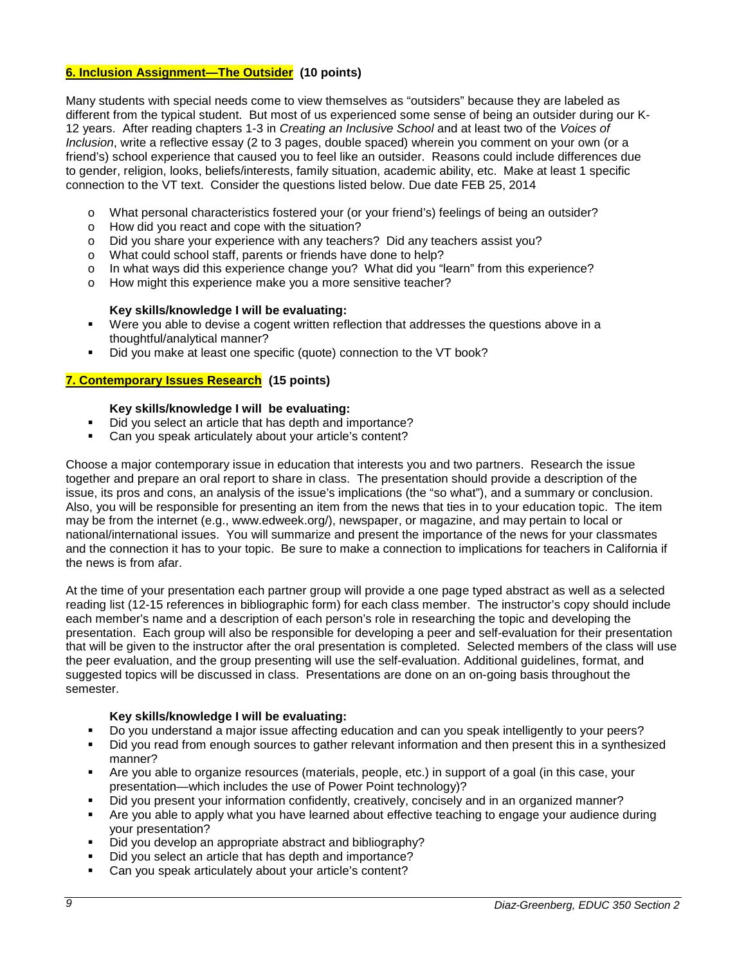# **6. Inclusion Assignment—The Outsider (10 points)**

Many students with special needs come to view themselves as "outsiders" because they are labeled as different from the typical student. But most of us experienced some sense of being an outsider during our K-12 years. After reading chapters 1-3 in *Creating an Inclusive School* and at least two of the *Voices of Inclusion*, write a reflective essay (2 to 3 pages, double spaced) wherein you comment on your own (or a friend's) school experience that caused you to feel like an outsider. Reasons could include differences due to gender, religion, looks, beliefs/interests, family situation, academic ability, etc. Make at least 1 specific connection to the VT text. Consider the questions listed below. Due date FEB 25, 2014

- o What personal characteristics fostered your (or your friend's) feelings of being an outsider?
- o How did you react and cope with the situation?
- o Did you share your experience with any teachers? Did any teachers assist you?
- o What could school staff, parents or friends have done to help?
- o In what ways did this experience change you? What did you "learn" from this experience?<br>  $\sim$  How might this experience make you a more sensitive teacher?
- How might this experience make you a more sensitive teacher?

### **Key skills/knowledge I will be evaluating:**

- Were you able to devise a cogent written reflection that addresses the questions above in a thoughtful/analytical manner?
- Did you make at least one specific (quote) connection to the VT book?

# **7. Contemporary Issues Research (15 points)**

# **Key skills/knowledge I will be evaluating:**

- Did you select an article that has depth and importance?
- Can you speak articulately about your article's content?

Choose a major contemporary issue in education that interests you and two partners. Research the issue together and prepare an oral report to share in class. The presentation should provide a description of the issue, its pros and cons, an analysis of the issue's implications (the "so what"), and a summary or conclusion. Also, you will be responsible for presenting an item from the news that ties in to your education topic. The item may be from the internet (e.g., www.edweek.org/), newspaper, or magazine, and may pertain to local or national/international issues. You will summarize and present the importance of the news for your classmates and the connection it has to your topic. Be sure to make a connection to implications for teachers in California if the news is from afar.

At the time of your presentation each partner group will provide a one page typed abstract as well as a selected reading list (12-15 references in bibliographic form) for each class member. The instructor's copy should include each member's name and a description of each person's role in researching the topic and developing the presentation. Each group will also be responsible for developing a peer and self-evaluation for their presentation that will be given to the instructor after the oral presentation is completed. Selected members of the class will use the peer evaluation, and the group presenting will use the self-evaluation. Additional guidelines, format, and suggested topics will be discussed in class. Presentations are done on an on-going basis throughout the semester.

### **Key skills/knowledge I will be evaluating:**

- Do you understand a major issue affecting education and can you speak intelligently to your peers?
- Did you read from enough sources to gather relevant information and then present this in a synthesized manner?
- Are you able to organize resources (materials, people, etc.) in support of a goal (in this case, your presentation—which includes the use of Power Point technology)?
- Did you present your information confidently, creatively, concisely and in an organized manner?
- Are you able to apply what you have learned about effective teaching to engage your audience during your presentation?
- Did you develop an appropriate abstract and bibliography?
- Did you select an article that has depth and importance?
- Can you speak articulately about your article's content?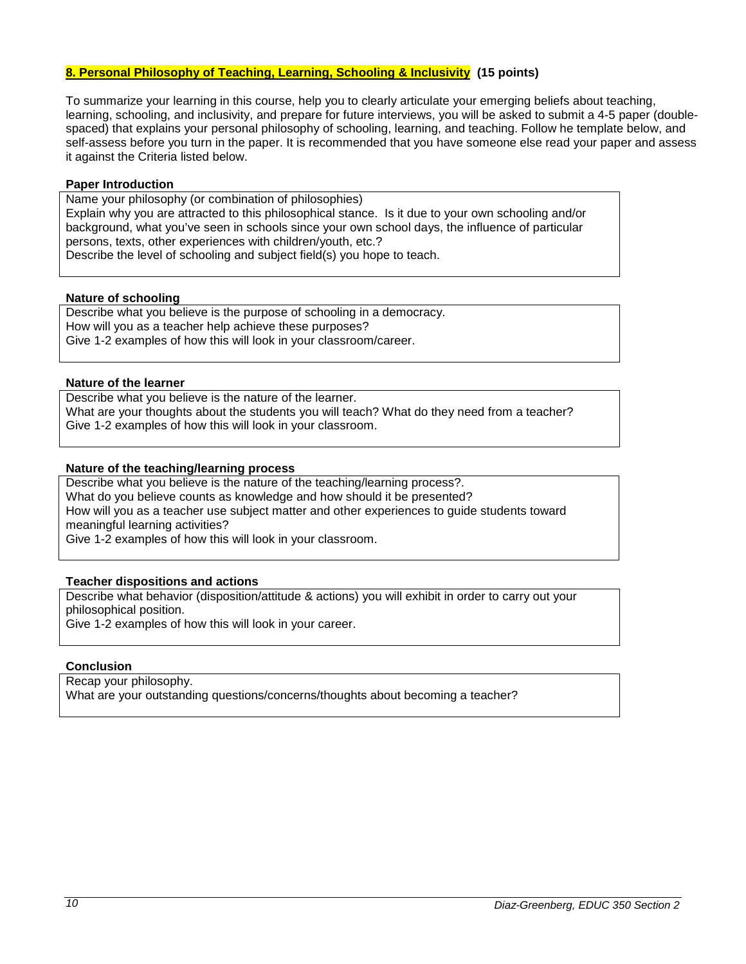# **8. Personal Philosophy of Teaching, Learning, Schooling & Inclusivity (15 points)**

To summarize your learning in this course, help you to clearly articulate your emerging beliefs about teaching, learning, schooling, and inclusivity, and prepare for future interviews, you will be asked to submit a 4-5 paper (doublespaced) that explains your personal philosophy of schooling, learning, and teaching. Follow he template below, and self-assess before you turn in the paper. It is recommended that you have someone else read your paper and assess it against the Criteria listed below.

### **Paper Introduction**

Name your philosophy (or combination of philosophies) Explain why you are attracted to this philosophical stance. Is it due to your own schooling and/or background, what you've seen in schools since your own school days, the influence of particular persons, texts, other experiences with children/youth, etc.? Describe the level of schooling and subject field(s) you hope to teach.

### **Nature of schooling**

Describe what you believe is the purpose of schooling in a democracy. How will you as a teacher help achieve these purposes? Give 1-2 examples of how this will look in your classroom/career.

### **Nature of the learner**

Describe what you believe is the nature of the learner. What are your thoughts about the students you will teach? What do they need from a teacher? Give 1-2 examples of how this will look in your classroom.

# **Nature of the teaching/learning process**

Describe what you believe is the nature of the teaching/learning process?. What do you believe counts as knowledge and how should it be presented? How will you as a teacher use subject matter and other experiences to guide students toward meaningful learning activities? Give 1-2 examples of how this will look in your classroom.

# **Teacher dispositions and actions**

Describe what behavior (disposition/attitude & actions) you will exhibit in order to carry out your philosophical position. Give 1-2 examples of how this will look in your career.

### **Conclusion**

Recap your philosophy. What are your outstanding questions/concerns/thoughts about becoming a teacher?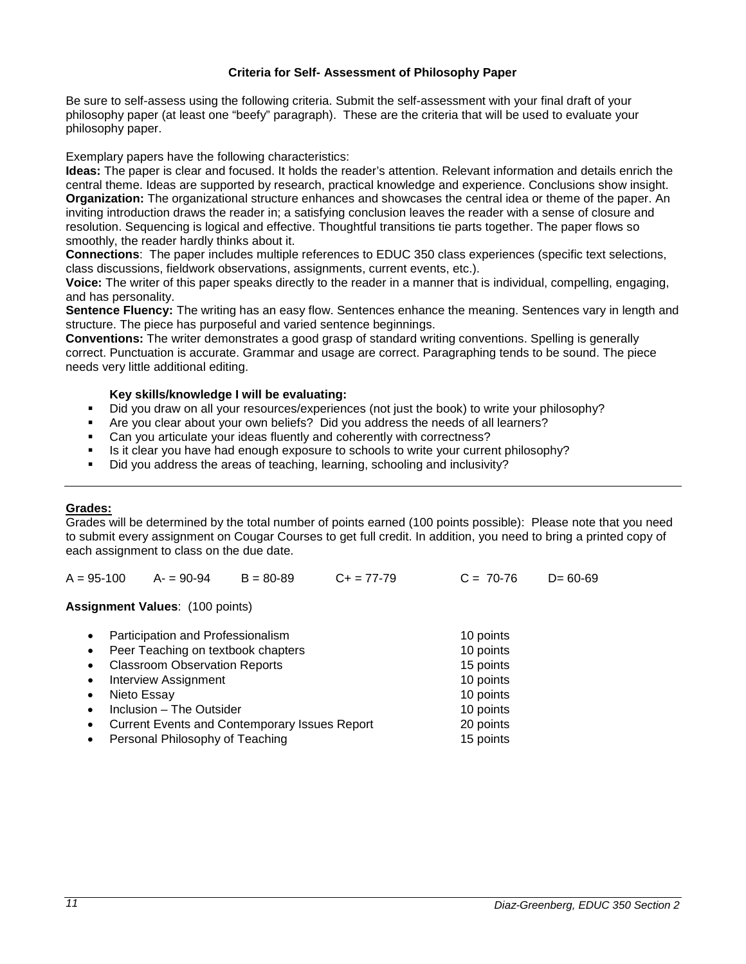### **Criteria for Self- Assessment of Philosophy Paper**

Be sure to self-assess using the following criteria. Submit the self-assessment with your final draft of your philosophy paper (at least one "beefy" paragraph). These are the criteria that will be used to evaluate your philosophy paper.

Exemplary papers have the following characteristics:

**Ideas:** The paper is clear and focused. It holds the reader's attention. Relevant information and details enrich the central theme. Ideas are supported by research, practical knowledge and experience. Conclusions show insight. **Organization:** The organizational structure enhances and showcases the central idea or theme of the paper. An inviting introduction draws the reader in; a satisfying conclusion leaves the reader with a sense of closure and resolution. Sequencing is logical and effective. Thoughtful transitions tie parts together. The paper flows so smoothly, the reader hardly thinks about it.

**Connections**: The paper includes multiple references to EDUC 350 class experiences (specific text selections, class discussions, fieldwork observations, assignments, current events, etc.).

**Voice:** The writer of this paper speaks directly to the reader in a manner that is individual, compelling, engaging, and has personality.

**Sentence Fluency:** The writing has an easy flow. Sentences enhance the meaning. Sentences vary in length and structure. The piece has purposeful and varied sentence beginnings.

**Conventions:** The writer demonstrates a good grasp of standard writing conventions. Spelling is generally correct. Punctuation is accurate. Grammar and usage are correct. Paragraphing tends to be sound. The piece needs very little additional editing.

# **Key skills/knowledge I will be evaluating:**

- Did you draw on all your resources/experiences (not just the book) to write your philosophy?
- Are you clear about your own beliefs? Did you address the needs of all learners?
- Can you articulate your ideas fluently and coherently with correctness?
- Is it clear you have had enough exposure to schools to write your current philosophy?
- Did you address the areas of teaching, learning, schooling and inclusivity?

### <span id="page-10-0"></span>**Grades:**

Grades will be determined by the total number of points earned (100 points possible): Please note that you need to submit every assignment on Cougar Courses to get full credit. In addition, you need to bring a printed copy of each assignment to class on the due date.

| $A = 95-100$ $A = 90-94$ $B = 80-89$ | $C+ = 77-79$ | $C = 70-76$ | $D = 60 - 69$ |
|--------------------------------------|--------------|-------------|---------------|
|                                      |              |             |               |

**Assignment Values**: (100 points)

| $\bullet$ | Participation and Professionalism                    | 10 points |
|-----------|------------------------------------------------------|-----------|
| $\bullet$ | Peer Teaching on textbook chapters                   | 10 points |
| $\bullet$ | <b>Classroom Observation Reports</b>                 | 15 points |
| $\bullet$ | <b>Interview Assignment</b>                          | 10 points |
| $\bullet$ | Nieto Essay                                          | 10 points |
| $\bullet$ | Inclusion - The Outsider                             | 10 points |
| $\bullet$ | <b>Current Events and Contemporary Issues Report</b> | 20 points |
| $\bullet$ | Personal Philosophy of Teaching                      | 15 points |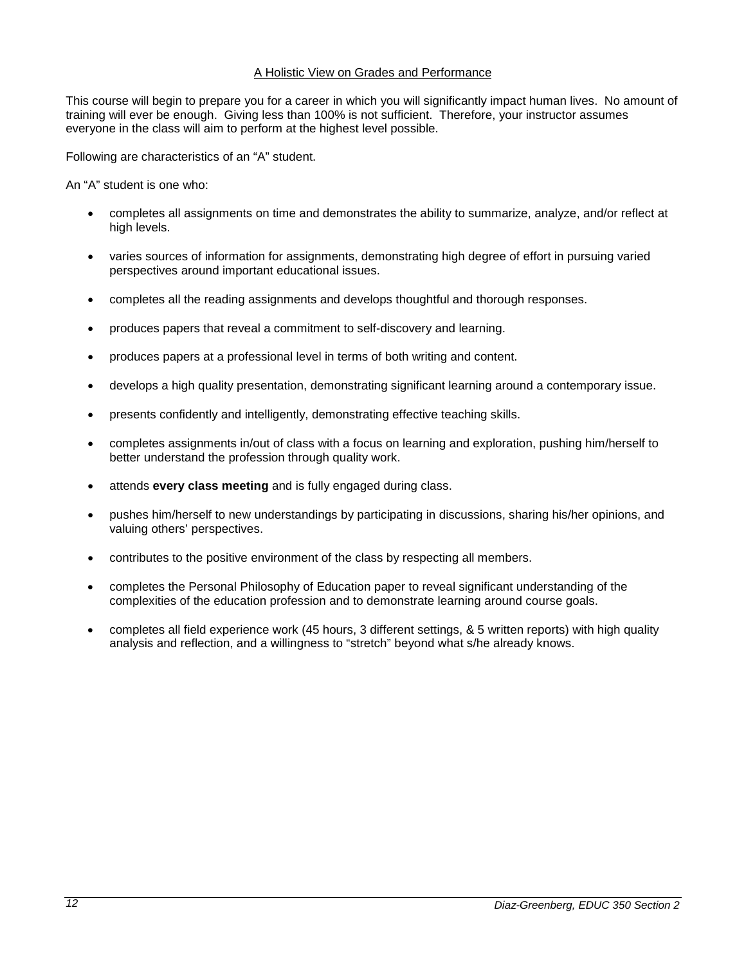# A Holistic View on Grades and Performance

This course will begin to prepare you for a career in which you will significantly impact human lives. No amount of training will ever be enough. Giving less than 100% is not sufficient. Therefore, your instructor assumes everyone in the class will aim to perform at the highest level possible.

Following are characteristics of an "A" student.

An "A" student is one who:

- completes all assignments on time and demonstrates the ability to summarize, analyze, and/or reflect at high levels.
- varies sources of information for assignments, demonstrating high degree of effort in pursuing varied perspectives around important educational issues.
- completes all the reading assignments and develops thoughtful and thorough responses.
- produces papers that reveal a commitment to self-discovery and learning.
- produces papers at a professional level in terms of both writing and content.
- develops a high quality presentation, demonstrating significant learning around a contemporary issue.
- presents confidently and intelligently, demonstrating effective teaching skills.
- completes assignments in/out of class with a focus on learning and exploration, pushing him/herself to better understand the profession through quality work.
- attends **every class meeting** and is fully engaged during class.
- pushes him/herself to new understandings by participating in discussions, sharing his/her opinions, and valuing others' perspectives.
- contributes to the positive environment of the class by respecting all members.
- completes the Personal Philosophy of Education paper to reveal significant understanding of the complexities of the education profession and to demonstrate learning around course goals.
- completes all field experience work (45 hours, 3 different settings, & 5 written reports) with high quality analysis and reflection, and a willingness to "stretch" beyond what s/he already knows.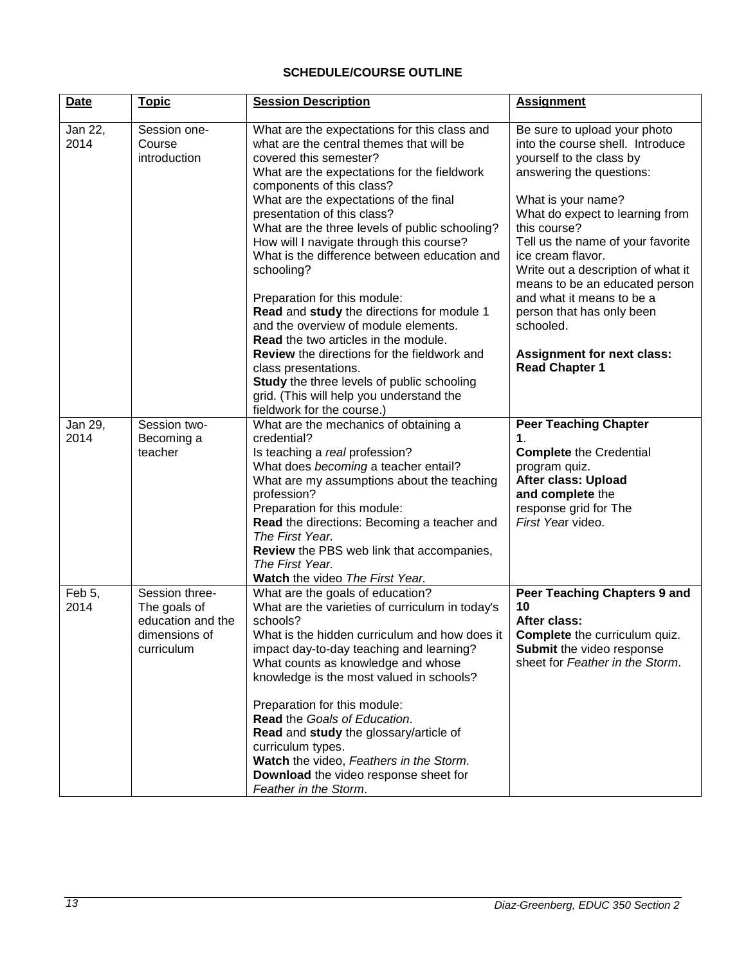# **SCHEDULE/COURSE OUTLINE**

<span id="page-12-0"></span>

| <b>Date</b>     | <u>Topic</u>                                                                       | <b>Session Description</b>                                                                                                                                                                                                                                                                                                                                                                                                                                                                                                                                                                                                                                                                                                                                                       | <b>Assignment</b>                                                                                                                                                                                                                                                                                                                                                                                                                                                        |
|-----------------|------------------------------------------------------------------------------------|----------------------------------------------------------------------------------------------------------------------------------------------------------------------------------------------------------------------------------------------------------------------------------------------------------------------------------------------------------------------------------------------------------------------------------------------------------------------------------------------------------------------------------------------------------------------------------------------------------------------------------------------------------------------------------------------------------------------------------------------------------------------------------|--------------------------------------------------------------------------------------------------------------------------------------------------------------------------------------------------------------------------------------------------------------------------------------------------------------------------------------------------------------------------------------------------------------------------------------------------------------------------|
| Jan 22,<br>2014 | Session one-<br>Course<br>introduction                                             | What are the expectations for this class and<br>what are the central themes that will be<br>covered this semester?<br>What are the expectations for the fieldwork<br>components of this class?<br>What are the expectations of the final<br>presentation of this class?<br>What are the three levels of public schooling?<br>How will I navigate through this course?<br>What is the difference between education and<br>schooling?<br>Preparation for this module:<br>Read and study the directions for module 1<br>and the overview of module elements.<br><b>Read</b> the two articles in the module.<br><b>Review</b> the directions for the fieldwork and<br>class presentations.<br>Study the three levels of public schooling<br>grid. (This will help you understand the | Be sure to upload your photo<br>into the course shell. Introduce<br>yourself to the class by<br>answering the questions:<br>What is your name?<br>What do expect to learning from<br>this course?<br>Tell us the name of your favorite<br>ice cream flavor.<br>Write out a description of what it<br>means to be an educated person<br>and what it means to be a<br>person that has only been<br>schooled.<br><b>Assignment for next class:</b><br><b>Read Chapter 1</b> |
| Jan 29,<br>2014 | Session two-<br>Becoming a<br>teacher                                              | fieldwork for the course.)<br>What are the mechanics of obtaining a<br>credential?<br>Is teaching a real profession?<br>What does becoming a teacher entail?<br>What are my assumptions about the teaching<br>profession?<br>Preparation for this module:<br>Read the directions: Becoming a teacher and<br>The First Year.<br>Review the PBS web link that accompanies,<br>The First Year.<br>Watch the video The First Year.                                                                                                                                                                                                                                                                                                                                                   | <b>Peer Teaching Chapter</b><br>1.<br><b>Complete the Credential</b><br>program quiz.<br>After class: Upload<br>and complete the<br>response grid for The<br>First Year video.                                                                                                                                                                                                                                                                                           |
| Feb 5,<br>2014  | Session three-<br>The goals of<br>education and the<br>dimensions of<br>curriculum | What are the goals of education?<br>What are the varieties of curriculum in today's<br>schools?<br>What is the hidden curriculum and how does it<br>impact day-to-day teaching and learning?<br>What counts as knowledge and whose<br>knowledge is the most valued in schools?<br>Preparation for this module:<br>Read the Goals of Education.<br>Read and study the glossary/article of<br>curriculum types.<br>Watch the video, Feathers in the Storm.<br>Download the video response sheet for<br>Feather in the Storm.                                                                                                                                                                                                                                                       | Peer Teaching Chapters 9 and<br>10<br>After class:<br><b>Complete</b> the curriculum quiz.<br>Submit the video response<br>sheet for Feather in the Storm.                                                                                                                                                                                                                                                                                                               |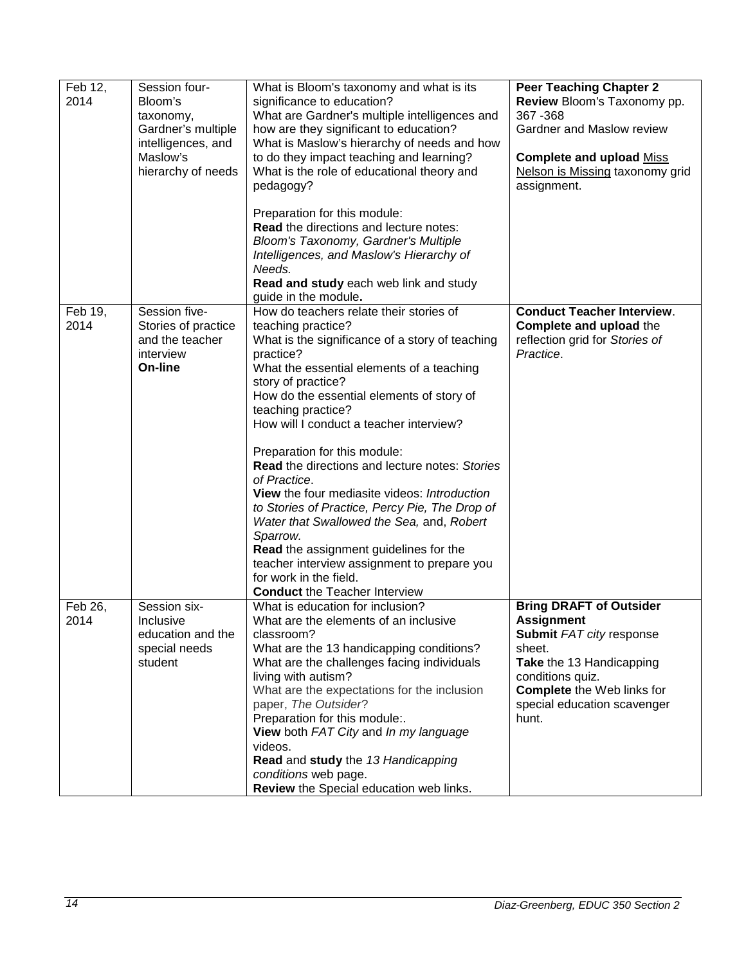| Feb 12,<br>2014 | Session four-<br>Bloom's<br>taxonomy,<br>Gardner's multiple<br>intelligences, and<br>Maslow's<br>hierarchy of needs | What is Bloom's taxonomy and what is its<br>significance to education?<br>What are Gardner's multiple intelligences and<br>how are they significant to education?<br>What is Maslow's hierarchy of needs and how<br>to do they impact teaching and learning?<br>What is the role of educational theory and<br>pedagogy?<br>Preparation for this module:<br>Read the directions and lecture notes:<br>Bloom's Taxonomy, Gardner's Multiple<br>Intelligences, and Maslow's Hierarchy of<br>Needs.<br>Read and study each web link and study                                                                                                                                                                                                                             | <b>Peer Teaching Chapter 2</b><br>Review Bloom's Taxonomy pp.<br>367 - 368<br>Gardner and Maslow review<br><b>Complete and upload Miss</b><br>Nelson is Missing taxonomy grid<br>assignment.                           |
|-----------------|---------------------------------------------------------------------------------------------------------------------|-----------------------------------------------------------------------------------------------------------------------------------------------------------------------------------------------------------------------------------------------------------------------------------------------------------------------------------------------------------------------------------------------------------------------------------------------------------------------------------------------------------------------------------------------------------------------------------------------------------------------------------------------------------------------------------------------------------------------------------------------------------------------|------------------------------------------------------------------------------------------------------------------------------------------------------------------------------------------------------------------------|
| Feb 19,<br>2014 | Session five-<br>Stories of practice<br>and the teacher<br>interview<br>On-line                                     | guide in the module.<br>How do teachers relate their stories of<br>teaching practice?<br>What is the significance of a story of teaching<br>practice?<br>What the essential elements of a teaching<br>story of practice?<br>How do the essential elements of story of<br>teaching practice?<br>How will I conduct a teacher interview?<br>Preparation for this module:<br><b>Read the directions and lecture notes: Stories</b><br>of Practice.<br>View the four mediasite videos: Introduction<br>to Stories of Practice, Percy Pie, The Drop of<br>Water that Swallowed the Sea, and, Robert<br>Sparrow.<br>Read the assignment guidelines for the<br>teacher interview assignment to prepare you<br>for work in the field.<br><b>Conduct the Teacher Interview</b> | <b>Conduct Teacher Interview.</b><br>Complete and upload the<br>reflection grid for Stories of<br>Practice.                                                                                                            |
| Feb 26,<br>2014 | Session six-<br>Inclusive<br>education and the<br>special needs<br>student                                          | What is education for inclusion?<br>What are the elements of an inclusive<br>classroom?<br>What are the 13 handicapping conditions?<br>What are the challenges facing individuals<br>living with autism?<br>What are the expectations for the inclusion<br>paper, The Outsider?<br>Preparation for this module:.<br>View both FAT City and In my language<br>videos.<br>Read and study the 13 Handicapping<br>conditions web page.<br>Review the Special education web links.                                                                                                                                                                                                                                                                                         | <b>Bring DRAFT of Outsider</b><br><b>Assignment</b><br>Submit FAT city response<br>sheet.<br>Take the 13 Handicapping<br>conditions quiz.<br><b>Complete</b> the Web links for<br>special education scavenger<br>hunt. |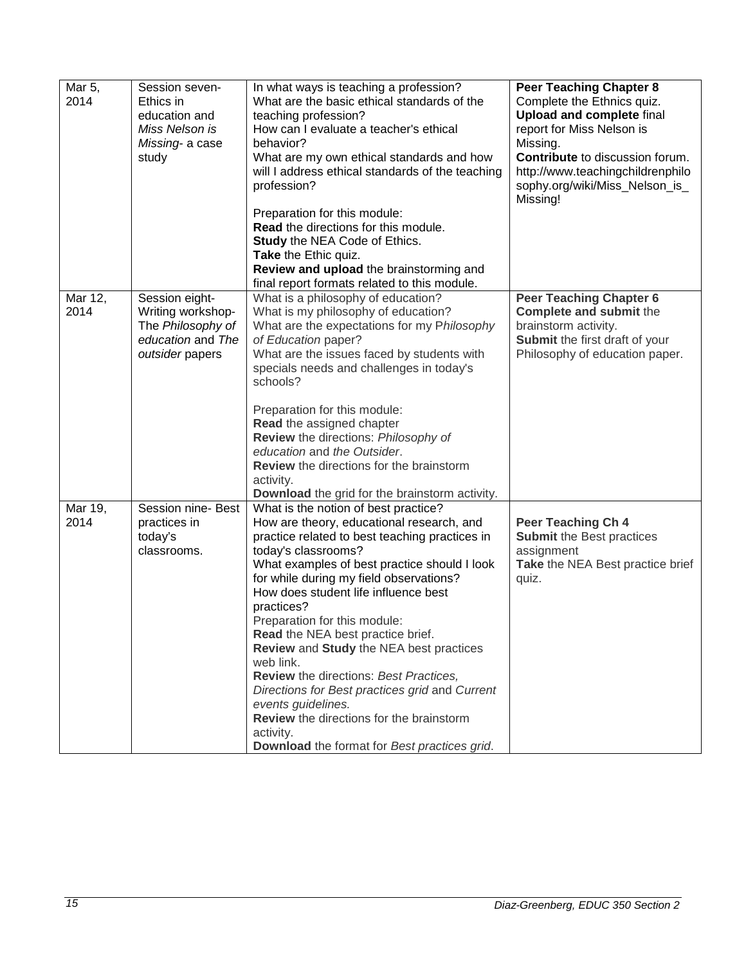| Mar 5,<br>2014  | Session seven-<br>Ethics in<br>education and<br>Miss Nelson is<br>Missing- a case<br>study       | In what ways is teaching a profession?<br>What are the basic ethical standards of the<br>teaching profession?<br>How can I evaluate a teacher's ethical<br>behavior?<br>What are my own ethical standards and how<br>will I address ethical standards of the teaching<br>profession?                                                                                                                                                                                                                                                                                                                                                                                       | <b>Peer Teaching Chapter 8</b><br>Complete the Ethnics quiz.<br><b>Upload and complete final</b><br>report for Miss Nelson is<br>Missing.<br>Contribute to discussion forum.<br>http://www.teachingchildrenphilo<br>sophy.org/wiki/Miss_Nelson_is_<br>Missing! |
|-----------------|--------------------------------------------------------------------------------------------------|----------------------------------------------------------------------------------------------------------------------------------------------------------------------------------------------------------------------------------------------------------------------------------------------------------------------------------------------------------------------------------------------------------------------------------------------------------------------------------------------------------------------------------------------------------------------------------------------------------------------------------------------------------------------------|----------------------------------------------------------------------------------------------------------------------------------------------------------------------------------------------------------------------------------------------------------------|
|                 |                                                                                                  | Preparation for this module:<br>Read the directions for this module.<br><b>Study the NEA Code of Ethics.</b><br>Take the Ethic quiz.<br>Review and upload the brainstorming and<br>final report formats related to this module.                                                                                                                                                                                                                                                                                                                                                                                                                                            |                                                                                                                                                                                                                                                                |
| Mar 12,<br>2014 | Session eight-<br>Writing workshop-<br>The Philosophy of<br>education and The<br>outsider papers | What is a philosophy of education?<br>What is my philosophy of education?<br>What are the expectations for my Philosophy<br>of Education paper?<br>What are the issues faced by students with<br>specials needs and challenges in today's<br>schools?<br>Preparation for this module:<br>Read the assigned chapter<br>Review the directions: Philosophy of<br>education and the Outsider.<br>Review the directions for the brainstorm<br>activity.<br>Download the grid for the brainstorm activity.                                                                                                                                                                       | <b>Peer Teaching Chapter 6</b><br>Complete and submit the<br>brainstorm activity.<br>Submit the first draft of your<br>Philosophy of education paper.                                                                                                          |
| Mar 19,<br>2014 | Session nine- Best<br>practices in<br>today's<br>classrooms.                                     | What is the notion of best practice?<br>How are theory, educational research, and<br>practice related to best teaching practices in<br>today's classrooms?<br>What examples of best practice should I look<br>for while during my field observations?<br>How does student life influence best<br>practices?<br>Preparation for this module:<br>Read the NEA best practice brief.<br>Review and Study the NEA best practices<br>web link.<br><b>Review</b> the directions: Best Practices,<br>Directions for Best practices grid and Current<br>events guidelines.<br>Review the directions for the brainstorm<br>activity.<br>Download the format for Best practices grid. | Peer Teaching Ch 4<br><b>Submit the Best practices</b><br>assignment<br>Take the NEA Best practice brief<br>quiz.                                                                                                                                              |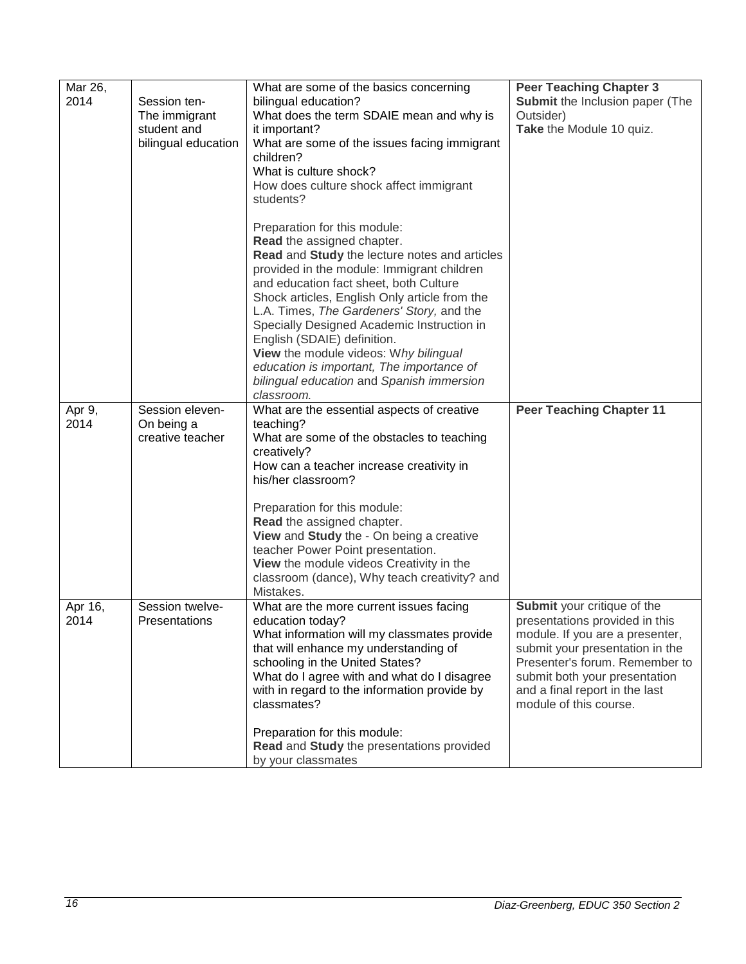| Mar 26,<br>2014 | Session ten-<br>The immigrant<br>student and<br>bilingual education | What are some of the basics concerning<br>bilingual education?<br>What does the term SDAIE mean and why is<br>it important?<br>What are some of the issues facing immigrant<br>children?<br>What is culture shock?<br>How does culture shock affect immigrant<br>students?<br>Preparation for this module:<br>Read the assigned chapter.<br>Read and Study the lecture notes and articles<br>provided in the module: Immigrant children<br>and education fact sheet, both Culture<br>Shock articles, English Only article from the<br>L.A. Times, The Gardeners' Story, and the | <b>Peer Teaching Chapter 3</b><br>Submit the Inclusion paper (The<br>Outsider)<br>Take the Module 10 quiz.                                                                                                                                                         |
|-----------------|---------------------------------------------------------------------|---------------------------------------------------------------------------------------------------------------------------------------------------------------------------------------------------------------------------------------------------------------------------------------------------------------------------------------------------------------------------------------------------------------------------------------------------------------------------------------------------------------------------------------------------------------------------------|--------------------------------------------------------------------------------------------------------------------------------------------------------------------------------------------------------------------------------------------------------------------|
|                 |                                                                     | Specially Designed Academic Instruction in<br>English (SDAIE) definition.<br>View the module videos: Why bilingual<br>education is important, The importance of<br>bilingual education and Spanish immersion<br>classroom.                                                                                                                                                                                                                                                                                                                                                      |                                                                                                                                                                                                                                                                    |
| Apr 9,<br>2014  | Session eleven-<br>On being a<br>creative teacher                   | What are the essential aspects of creative<br>teaching?<br>What are some of the obstacles to teaching<br>creatively?<br>How can a teacher increase creativity in<br>his/her classroom?                                                                                                                                                                                                                                                                                                                                                                                          | <b>Peer Teaching Chapter 11</b>                                                                                                                                                                                                                                    |
|                 |                                                                     | Preparation for this module:<br>Read the assigned chapter.<br>View and Study the - On being a creative<br>teacher Power Point presentation.<br>View the module videos Creativity in the<br>classroom (dance), Why teach creativity? and<br>Mistakes.                                                                                                                                                                                                                                                                                                                            |                                                                                                                                                                                                                                                                    |
| Apr 16,<br>2014 | Session twelve-<br>Presentations                                    | What are the more current issues facing<br>education today?<br>What information will my classmates provide<br>that will enhance my understanding of<br>schooling in the United States?<br>What do I agree with and what do I disagree<br>with in regard to the information provide by<br>classmates?                                                                                                                                                                                                                                                                            | Submit your critique of the<br>presentations provided in this<br>module. If you are a presenter,<br>submit your presentation in the<br>Presenter's forum. Remember to<br>submit both your presentation<br>and a final report in the last<br>module of this course. |
|                 |                                                                     | Preparation for this module:<br>Read and Study the presentations provided<br>by your classmates                                                                                                                                                                                                                                                                                                                                                                                                                                                                                 |                                                                                                                                                                                                                                                                    |